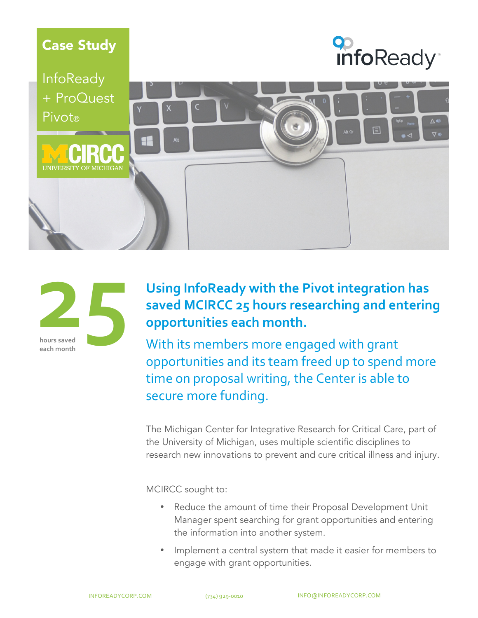



InfoReady + ProQuest Pivot® △● ⊽∙ **JNIVERSITY OF MICHIGAN** 



### **Using InfoReady with the Pivot integration has**  saved MCIRCC 25 hours researching and entering opportunities each month.

With its members more engaged with grant opportunities and its team freed up to spend more time on proposal writing, the Center is able to secure more funding.

The Michigan Center for Integrative Research for Critical Care, part of the University of Michigan, uses multiple scientific disciplines to research new innovations to prevent and cure critical illness and injury.

MCIRCC sought to:

- Reduce the amount of time their Proposal Development Unit Manager spent searching for grant opportunities and entering the information into another system.
- Implement a central system that made it easier for members to engage with grant opportunities.